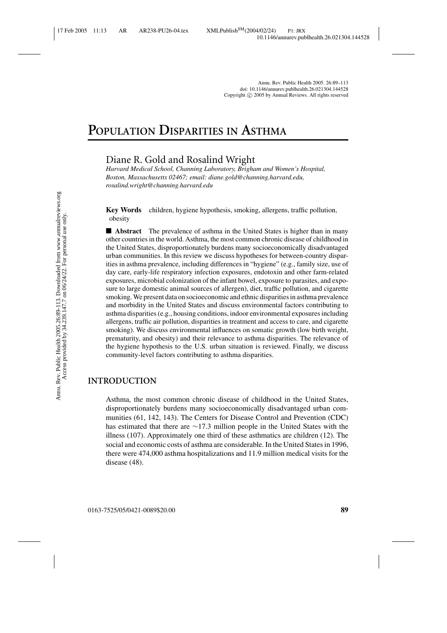# **POPULATION DISPARITIES IN ASTHMA**

## Diane R. Gold and Rosalind Wright

*Harvard Medical School, Channing Laboratory, Brigham and Women's Hospital, Boston, Massachusetts 02467; email: diane.gold@channing.harvard.edu, rosalind.wright@channing.harvard.edu*

**Key Words** children, hygiene hypothesis, smoking, allergens, traffic pollution, obesity

■ **Abstract** The prevalence of asthma in the United States is higher than in many other countries in the world. Asthma, the most common chronic disease of childhood in the United States, disproportionately burdens many socioeconomically disadvantaged urban communities. In this review we discuss hypotheses for between-country disparities in asthma prevalence, including differences in "hygiene" (e.g., family size, use of day care, early-life respiratory infection exposures, endotoxin and other farm-related exposures, microbial colonization of the infant bowel, exposure to parasites, and exposure to large domestic animal sources of allergen), diet, traffic pollution, and cigarette smoking. We present data on socioeconomic and ethnic disparities in asthma prevalence and morbidity in the United States and discuss environmental factors contributing to asthma disparities (e.g., housing conditions, indoor environmental exposures including allergens, traffic air pollution, disparities in treatment and access to care, and cigarette smoking). We discuss environmental influences on somatic growth (low birth weight, prematurity, and obesity) and their relevance to asthma disparities. The relevance of the hygiene hypothesis to the U.S. urban situation is reviewed. Finally, we discuss community-level factors contributing to asthma disparities.

## **INTRODUCTION**

Asthma, the most common chronic disease of childhood in the United States, disproportionately burdens many socioeconomically disadvantaged urban communities (61, 142, 143). The Centers for Disease Control and Prevention (CDC) has estimated that there are ∼17.3 million people in the United States with the illness (107). Approximately one third of these asthmatics are children (12). The social and economic costs of asthma are considerable. In the United States in 1996, there were 474,000 asthma hospitalizations and 11.9 million medical visits for the disease (48).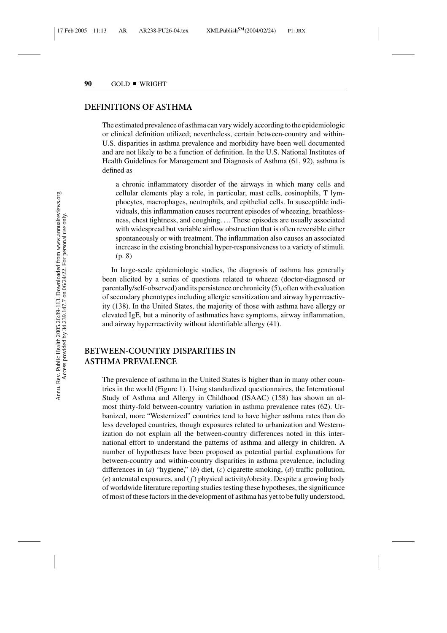### **DEFINITIONS OF ASTHMA**

The estimated prevalence of asthma can vary widely according to the epidemiologic or clinical definition utilized; nevertheless, certain between-country and within-U.S. disparities in asthma prevalence and morbidity have been well documented and are not likely to be a function of definition. In the U.S. National Institutes of Health Guidelines for Management and Diagnosis of Asthma (61, 92), asthma is defined as

a chronic inflammatory disorder of the airways in which many cells and cellular elements play a role, in particular, mast cells, eosinophils, T lymphocytes, macrophages, neutrophils, and epithelial cells. In susceptible individuals, this inflammation causes recurrent episodes of wheezing, breathlessness, chest tightness, and coughing.... These episodes are usually associated with widespread but variable airflow obstruction that is often reversible either spontaneously or with treatment. The inflammation also causes an associated increase in the existing bronchial hyper-responsiveness to a variety of stimuli. (p. 8)

In large-scale epidemiologic studies, the diagnosis of asthma has generally been elicited by a series of questions related to wheeze (doctor-diagnosed or parentally/self-observed) and its persistence or chronicity (5), often with evaluation of secondary phenotypes including allergic sensitization and airway hyperreactivity (138). In the United States, the majority of those with asthma have allergy or elevated IgE, but a minority of asthmatics have symptoms, airway inflammation, and airway hyperreactivity without identifiable allergy (41).

## **BETWEEN-COUNTRY DISPARITIES IN ASTHMA PREVALENCE**

The prevalence of asthma in the United States is higher than in many other countries in the world (Figure 1). Using standardized questionnaires, the International Study of Asthma and Allergy in Childhood (ISAAC) (158) has shown an almost thirty-fold between-country variation in asthma prevalence rates (62). Urbanized, more "Westernized" countries tend to have higher asthma rates than do less developed countries, though exposures related to urbanization and Westernization do not explain all the between-country differences noted in this international effort to understand the patterns of asthma and allergy in children. A number of hypotheses have been proposed as potential partial explanations for between-country and within-country disparities in asthma prevalence, including differences in (*a*) "hygiene," (*b*) diet, (*c*) cigarette smoking, (*d*) traffic pollution, (*e*) antenatal exposures, and (*f*) physical activity/obesity. Despite a growing body of worldwide literature reporting studies testing these hypotheses, the significance of most of these factors in the development of asthma has yet to be fully understood,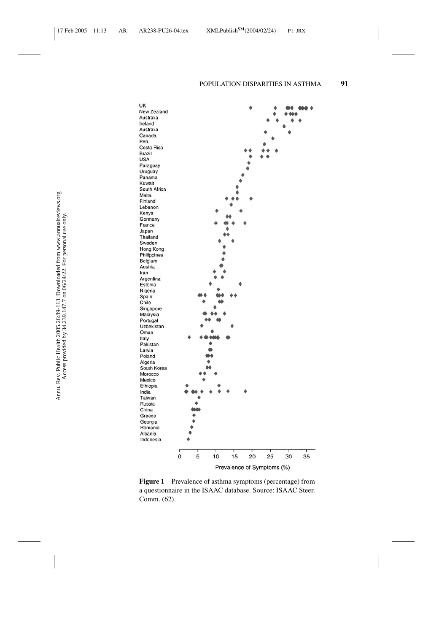

**Figure 1** Prevalence of asthma symptoms (percentage) from a questionnaire in the ISAAC database. Source: ISAAC Steer. Comm. (62).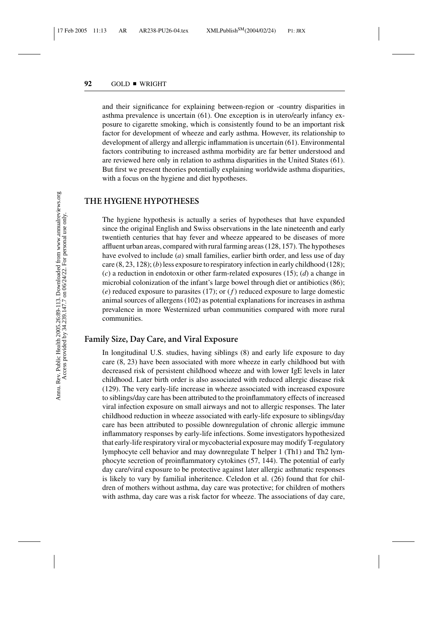and their significance for explaining between-region or -country disparities in asthma prevalence is uncertain (61). One exception is in utero/early infancy exposure to cigarette smoking, which is consistently found to be an important risk factor for development of wheeze and early asthma. However, its relationship to development of allergy and allergic inflammation is uncertain (61). Environmental factors contributing to increased asthma morbidity are far better understood and are reviewed here only in relation to asthma disparities in the United States (61). But first we present theories potentially explaining worldwide asthma disparities, with a focus on the hygiene and diet hypotheses.

#### **THE HYGIENE HYPOTHESES**

The hygiene hypothesis is actually a series of hypotheses that have expanded since the original English and Swiss observations in the late nineteenth and early twentieth centuries that hay fever and wheeze appeared to be diseases of more affluent urban areas, compared with rural farming areas (128, 157). The hypotheses have evolved to include (*a*) small families, earlier birth order, and less use of day care  $(8, 23, 128)$ ; *(b)* less exposure to respiratory infection in early childhood (128); (*c*) a reduction in endotoxin or other farm-related exposures (15); (*d*) a change in microbial colonization of the infant's large bowel through diet or antibiotics (86);  $(e)$  reduced exposure to parasites  $(17)$ ; or  $(f)$  reduced exposure to large domestic animal sources of allergens (102) as potential explanations for increases in asthma prevalence in more Westernized urban communities compared with more rural communities.

#### **Family Size, Day Care, and Viral Exposure**

In longitudinal U.S. studies, having siblings (8) and early life exposure to day care (8, 23) have been associated with more wheeze in early childhood but with decreased risk of persistent childhood wheeze and with lower IgE levels in later childhood. Later birth order is also associated with reduced allergic disease risk (129). The very early-life increase in wheeze associated with increased exposure to siblings/day care has been attributed to the proinflammatory effects of increased viral infection exposure on small airways and not to allergic responses. The later childhood reduction in wheeze associated with early-life exposure to siblings/day care has been attributed to possible downregulation of chronic allergic immune inflammatory responses by early-life infections. Some investigators hypothesized that early-life respiratory viral or mycobacterial exposure may modify T-regulatory lymphocyte cell behavior and may downregulate T helper 1 (Th1) and Th2 lymphocyte secretion of proinflammatory cytokines (57, 144). The potential of early day care/viral exposure to be protective against later allergic asthmatic responses is likely to vary by familial inheritence. Celedon et al. (26) found that for children of mothers without asthma, day care was protective; for children of mothers with asthma, day care was a risk factor for wheeze. The associations of day care,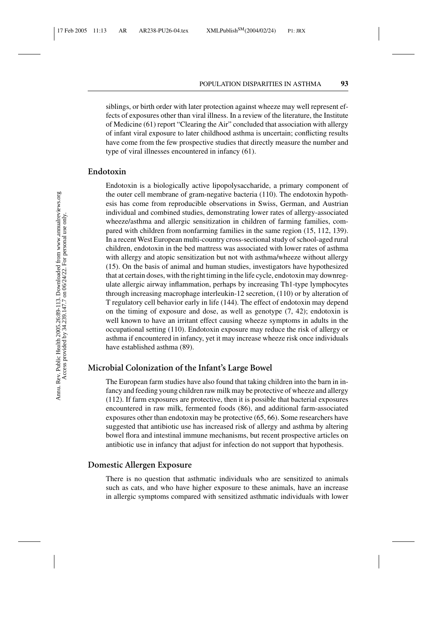siblings, or birth order with later protection against wheeze may well represent effects of exposures other than viral illness. In a review of the literature, the Institute of Medicine (61) report "Clearing the Air" concluded that association with allergy of infant viral exposure to later childhood asthma is uncertain; conflicting results have come from the few prospective studies that directly measure the number and type of viral illnesses encountered in infancy (61).

#### **Endotoxin**

Endotoxin is a biologically active lipopolysaccharide, a primary component of the outer cell membrane of gram-negative bacteria (110). The endotoxin hypothesis has come from reproducible observations in Swiss, German, and Austrian individual and combined studies, demonstrating lower rates of allergy-associated wheeze/asthma and allergic sensitization in children of farming families, compared with children from nonfarming families in the same region (15, 112, 139). In a recent West European multi-country cross-sectional study of school-aged rural children, endotoxin in the bed mattress was associated with lower rates of asthma with allergy and atopic sensitization but not with asthma/wheeze without allergy (15). On the basis of animal and human studies, investigators have hypothesized that at certain doses, with the right timing in the life cycle, endotoxin may downregulate allergic airway inflammation, perhaps by increasing Th1-type lymphocytes through increasing macrophage interleukin-12 secretion, (110) or by alteration of T regulatory cell behavior early in life (144). The effect of endotoxin may depend on the timing of exposure and dose, as well as genotype  $(7, 42)$ ; endotoxin is well known to have an irritant effect causing wheeze symptoms in adults in the occupational setting (110). Endotoxin exposure may reduce the risk of allergy or asthma if encountered in infancy, yet it may increase wheeze risk once individuals have established asthma (89).

#### **Microbial Colonization of the Infant's Large Bowel**

The European farm studies have also found that taking children into the barn in infancy and feeding young children raw milk may be protective of wheeze and allergy (112). If farm exposures are protective, then it is possible that bacterial exposures encountered in raw milk, fermented foods (86), and additional farm-associated exposures other than endotoxin may be protective (65, 66). Some researchers have suggested that antibiotic use has increased risk of allergy and asthma by altering bowel flora and intestinal immune mechanisms, but recent prospective articles on antibiotic use in infancy that adjust for infection do not support that hypothesis.

#### **Domestic Allergen Exposure**

There is no question that asthmatic individuals who are sensitized to animals such as cats, and who have higher exposure to these animals, have an increase in allergic symptoms compared with sensitized asthmatic individuals with lower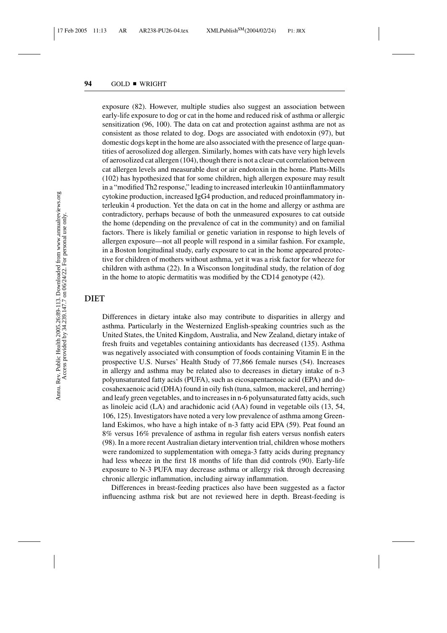exposure (82). However, multiple studies also suggest an association between early-life exposure to dog or cat in the home and reduced risk of asthma or allergic sensitization (96, 100). The data on cat and protection against asthma are not as consistent as those related to dog. Dogs are associated with endotoxin (97), but domestic dogs kept in the home are also associated with the presence of large quantities of aerosolized dog allergen. Similarly, homes with cats have very high levels of aerosolized cat allergen (104), though there is not a clear-cut correlation between cat allergen levels and measurable dust or air endotoxin in the home. Platts-Mills (102) has hypothesized that for some children, high allergen exposure may result in a "modified Th2 response," leading to increased interleukin 10 antiinflammatory cytokine production, increased IgG4 production, and reduced proinflammatory interleukin 4 production. Yet the data on cat in the home and allergy or asthma are contradictory, perhaps because of both the unmeasured exposures to cat outside the home (depending on the prevalence of cat in the community) and on familial factors. There is likely familial or genetic variation in response to high levels of allergen exposure—not all people will respond in a similar fashion. For example, in a Boston longitudinal study, early exposure to cat in the home appeared protective for children of mothers without asthma, yet it was a risk factor for wheeze for children with asthma (22). In a Wisconson longitudinal study, the relation of dog in the home to atopic dermatitis was modified by the CD14 genotype (42).

#### **DIET**

Differences in dietary intake also may contribute to disparities in allergy and asthma. Particularly in the Westernized English-speaking countries such as the United States, the United Kingdom, Australia, and New Zealand, dietary intake of fresh fruits and vegetables containing antioxidants has decreased (135). Asthma was negatively associated with consumption of foods containing Vitamin E in the prospective U.S. Nurses' Health Study of 77,866 female nurses (54). Increases in allergy and asthma may be related also to decreases in dietary intake of n-3 polyunsaturated fatty acids (PUFA), such as eicosapentaenoic acid (EPA) and docosahexaenoic acid (DHA) found in oily fish (tuna, salmon, mackerel, and herring) and leafy green vegetables, and to increases in n-6 polyunsaturated fatty acids, such as linoleic acid (LA) and arachidonic acid (AA) found in vegetable oils (13, 54, 106, 125). Investigators have noted a very low prevalence of asthma among Greenland Eskimos, who have a high intake of n-3 fatty acid EPA (59). Peat found an 8% versus 16% prevalence of asthma in regular fish eaters versus nonfish eaters (98). In a more recent Australian dietary intervention trial, children whose mothers were randomized to supplementation with omega-3 fatty acids during pregnancy had less wheeze in the first 18 months of life than did controls (90). Early-life exposure to N-3 PUFA may decrease asthma or allergy risk through decreasing chronic allergic inflammation, including airway inflammation.

Differences in breast-feeding practices also have been suggested as a factor influencing asthma risk but are not reviewed here in depth. Breast-feeding is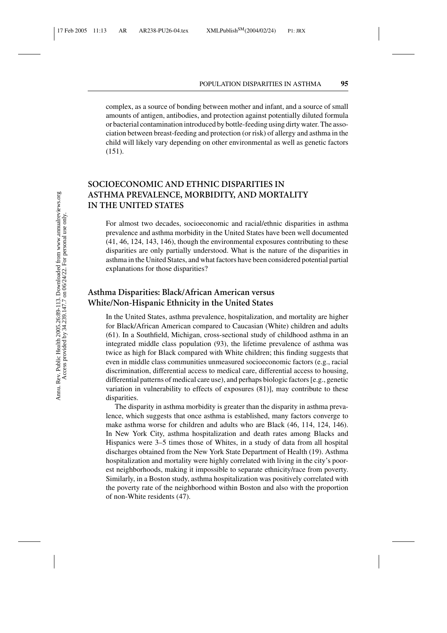complex, as a source of bonding between mother and infant, and a source of small amounts of antigen, antibodies, and protection against potentially diluted formula or bacterial contamination introduced by bottle-feeding using dirty water. The association between breast-feeding and protection (or risk) of allergy and asthma in the child will likely vary depending on other environmental as well as genetic factors (151).

## **SOCIOECONOMIC AND ETHNIC DISPARITIES IN ASTHMA PREVALENCE, MORBIDITY, AND MORTALITY IN THE UNITED STATES**

For almost two decades, socioeconomic and racial/ethnic disparities in asthma prevalence and asthma morbidity in the United States have been well documented (41, 46, 124, 143, 146), though the environmental exposures contributing to these disparities are only partially understood. What is the nature of the disparities in asthma in the United States, and what factors have been considered potential partial explanations for those disparities?

## **Asthma Disparities: Black/African American versus White/Non-Hispanic Ethnicity in the United States**

In the United States, asthma prevalence, hospitalization, and mortality are higher for Black/African American compared to Caucasian (White) children and adults (61). In a Southfield, Michigan, cross-sectional study of childhood asthma in an integrated middle class population (93), the lifetime prevalence of asthma was twice as high for Black compared with White children; this finding suggests that even in middle class communities unmeasured socioeconomic factors (e.g., racial discrimination, differential access to medical care, differential access to housing, differential patterns of medical care use), and perhaps biologic factors [e.g., genetic variation in vulnerability to effects of exposures (81)], may contribute to these disparities.

The disparity in asthma morbidity is greater than the disparity in asthma prevalence, which suggests that once asthma is established, many factors converge to make asthma worse for children and adults who are Black (46, 114, 124, 146). In New York City, asthma hospitalization and death rates among Blacks and Hispanics were 3–5 times those of Whites, in a study of data from all hospital discharges obtained from the New York State Department of Health (19). Asthma hospitalization and mortality were highly correlated with living in the city's poorest neighborhoods, making it impossible to separate ethnicity/race from poverty. Similarly, in a Boston study, asthma hospitalization was positively correlated with the poverty rate of the neighborhood within Boston and also with the proportion of non-White residents (47).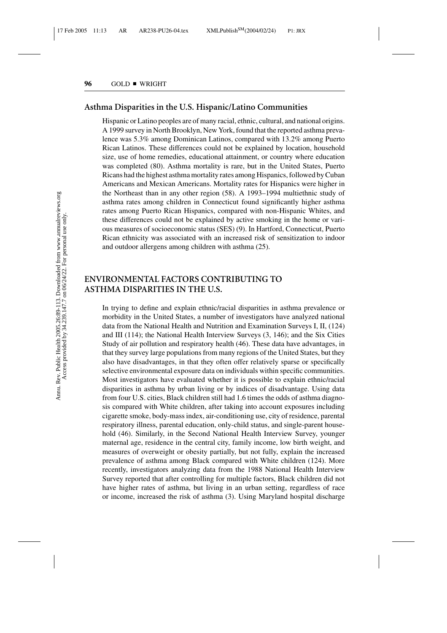#### **Asthma Disparities in the U.S. Hispanic/Latino Communities**

Hispanic or Latino peoples are of many racial, ethnic, cultural, and national origins. A 1999 survey in North Brooklyn, New York, found that the reported asthma prevalence was 5.3% among Dominican Latinos, compared with 13.2% among Puerto Rican Latinos. These differences could not be explained by location, household size, use of home remedies, educational attainment, or country where education was completed (80). Asthma mortality is rare, but in the United States, Puerto Ricans had the highest asthma mortality rates among Hispanics, followed by Cuban Americans and Mexican Americans. Mortality rates for Hispanics were higher in the Northeast than in any other region (58). A 1993–1994 multiethnic study of asthma rates among children in Connecticut found significantly higher asthma rates among Puerto Rican Hispanics, compared with non-Hispanic Whites, and these differences could not be explained by active smoking in the home or various measures of socioeconomic status (SES) (9). In Hartford, Connecticut, Puerto Rican ethnicity was associated with an increased risk of sensitization to indoor and outdoor allergens among children with asthma (25).

## **ENVIRONMENTAL FACTORS CONTRIBUTING TO ASTHMA DISPARITIES IN THE U.S.**

In trying to define and explain ethnic/racial disparities in asthma prevalence or morbidity in the United States, a number of investigators have analyzed national data from the National Health and Nutrition and Examination Surveys I, II, (124) and III (114); the National Health Interview Surveys (3, 146); and the Six Cities Study of air pollution and respiratory health (46). These data have advantages, in that they survey large populations from many regions of the United States, but they also have disadvantages, in that they often offer relatively sparse or specifically selective environmental exposure data on individuals within specific communities. Most investigators have evaluated whether it is possible to explain ethnic/racial disparities in asthma by urban living or by indices of disadvantage. Using data from four U.S. cities, Black children still had 1.6 times the odds of asthma diagnosis compared with White children, after taking into account exposures including cigarette smoke, body-mass index, air-conditioning use, city of residence, parental respiratory illness, parental education, only-child status, and single-parent household (46). Similarly, in the Second National Health Interview Survey, younger maternal age, residence in the central city, family income, low birth weight, and measures of overweight or obesity partially, but not fully, explain the increased prevalence of asthma among Black compared with White children (124). More recently, investigators analyzing data from the 1988 National Health Interview Survey reported that after controlling for multiple factors, Black children did not have higher rates of asthma, but living in an urban setting, regardless of race or income, increased the risk of asthma (3). Using Maryland hospital discharge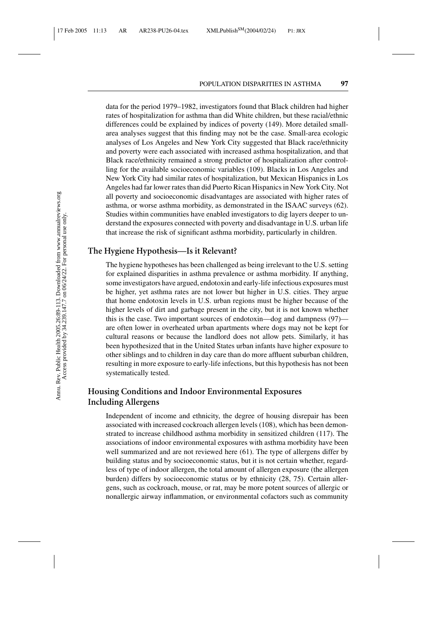data for the period 1979–1982, investigators found that Black children had higher rates of hospitalization for asthma than did White children, but these racial/ethnic differences could be explained by indices of poverty (149). More detailed smallarea analyses suggest that this finding may not be the case. Small-area ecologic analyses of Los Angeles and New York City suggested that Black race/ethnicity and poverty were each associated with increased asthma hospitalization, and that Black race/ethnicity remained a strong predictor of hospitalization after controlling for the available socioeconomic variables (109). Blacks in Los Angeles and New York City had similar rates of hospitalization, but Mexican Hispanics in Los Angeles had far lower rates than did Puerto Rican Hispanics in New York City. Not all poverty and socioeconomic disadvantages are associated with higher rates of asthma, or worse asthma morbidity, as demonstrated in the ISAAC surveys (62). Studies within communities have enabled investigators to dig layers deeper to understand the exposures connected with poverty and disadvantage in U.S. urban life that increase the risk of significant asthma morbidity, particularly in children.

#### **The Hygiene Hypothesis—Is it Relevant?**

The hygiene hypotheses has been challenged as being irrelevant to the U.S. setting for explained disparities in asthma prevalence or asthma morbidity. If anything, some investigators have argued, endotoxin and early-life infectious exposures must be higher, yet asthma rates are not lower but higher in U.S. cities. They argue that home endotoxin levels in U.S. urban regions must be higher because of the higher levels of dirt and garbage present in the city, but it is not known whether this is the case. Two important sources of endotoxin—dog and dampness (97) are often lower in overheated urban apartments where dogs may not be kept for cultural reasons or because the landlord does not allow pets. Similarly, it has been hypothesized that in the United States urban infants have higher exposure to other siblings and to children in day care than do more affluent suburban children, resulting in more exposure to early-life infections, but this hypothesis has not been systematically tested.

## **Housing Conditions and Indoor Environmental Exposures Including Allergens**

Independent of income and ethnicity, the degree of housing disrepair has been associated with increased cockroach allergen levels (108), which has been demonstrated to increase childhood asthma morbidity in sensitized children (117). The associations of indoor environmental exposures with asthma morbidity have been well summarized and are not reviewed here (61). The type of allergens differ by building status and by socioeconomic status, but it is not certain whether, regardless of type of indoor allergen, the total amount of allergen exposure (the allergen burden) differs by socioeconomic status or by ethnicity (28, 75). Certain allergens, such as cockroach, mouse, or rat, may be more potent sources of allergic or nonallergic airway inflammation, or environmental cofactors such as community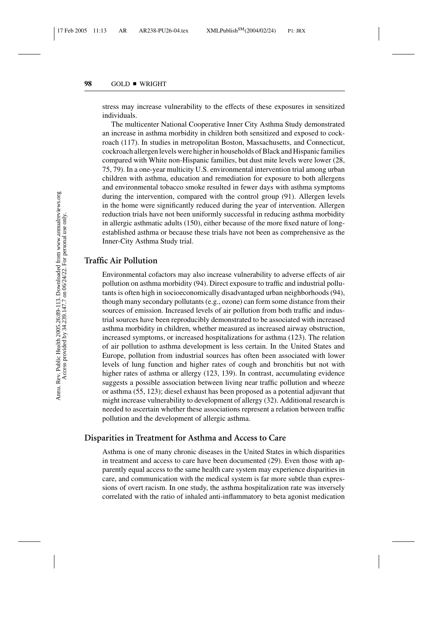stress may increase vulnerability to the effects of these exposures in sensitized individuals.

The multicenter National Cooperative Inner City Asthma Study demonstrated an increase in asthma morbidity in children both sensitized and exposed to cockroach (117). In studies in metropolitan Boston, Massachusetts, and Connecticut, cockroach allergen levels were higher in households of Black and Hispanic families compared with White non-Hispanic families, but dust mite levels were lower (28, 75, 79). In a one-year multicity U.S. environmental intervention trial among urban children with asthma, education and remediation for exposure to both allergens and environmental tobacco smoke resulted in fewer days with asthma symptoms during the intervention, compared with the control group (91). Allergen levels in the home were significantly reduced during the year of intervention. Allergen reduction trials have not been uniformly successful in reducing asthma morbidity in allergic asthmatic adults (150), either because of the more fixed nature of longestablished asthma or because these trials have not been as comprehensive as the Inner-City Asthma Study trial.

#### **Traffic Air Pollution**

Environmental cofactors may also increase vulnerability to adverse effects of air pollution on asthma morbidity (94). Direct exposure to traffic and industrial pollutants is often high in socioeconomically disadvantaged urban neighborhoods (94), though many secondary pollutants (e.g., ozone) can form some distance from their sources of emission. Increased levels of air pollution from both traffic and industrial sources have been reproducibly demonstrated to be associated with increased asthma morbidity in children, whether measured as increased airway obstruction, increased symptoms, or increased hospitalizations for asthma (123). The relation of air pollution to asthma development is less certain. In the United States and Europe, pollution from industrial sources has often been associated with lower levels of lung function and higher rates of cough and bronchitis but not with higher rates of asthma or allergy (123, 139). In contrast, accumulating evidence suggests a possible association between living near traffic pollution and wheeze or asthma (55, 123); diesel exhaust has been proposed as a potential adjuvant that might increase vulnerability to development of allergy (32). Additional research is needed to ascertain whether these associations represent a relation between traffic pollution and the development of allergic asthma.

#### **Disparities in Treatment for Asthma and Access to Care**

Asthma is one of many chronic diseases in the United States in which disparities in treatment and access to care have been documented (29). Even those with apparently equal access to the same health care system may experience disparities in care, and communication with the medical system is far more subtle than expressions of overt racism. In one study, the asthma hospitalization rate was inversely correlated with the ratio of inhaled anti-inflammatory to beta agonist medication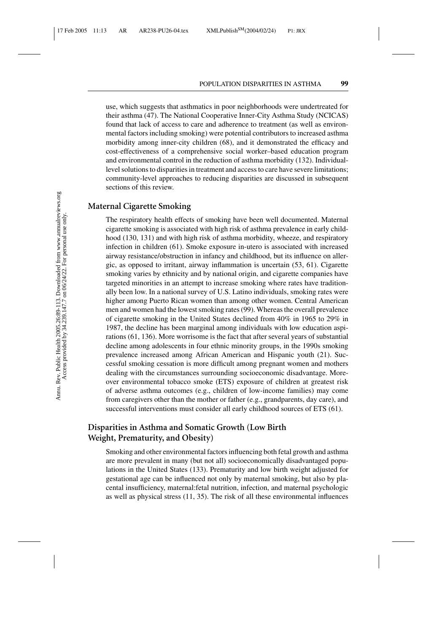use, which suggests that asthmatics in poor neighborhoods were undertreated for their asthma (47). The National Cooperative Inner-City Asthma Study (NCICAS) found that lack of access to care and adherence to treatment (as well as environmental factors including smoking) were potential contributors to increased asthma morbidity among inner-city children (68), and it demonstrated the efficacy and cost-effectiveness of a comprehensive social worker–based education program and environmental control in the reduction of asthma morbidity (132). Individuallevel solutions to disparities in treatment and access to care have severe limitations; community-level approaches to reducing disparities are discussed in subsequent sections of this review.

#### **Maternal Cigarette Smoking**

The respiratory health effects of smoking have been well documented. Maternal cigarette smoking is associated with high risk of asthma prevalence in early childhood (130, 131) and with high risk of asthma morbidity, wheeze, and respiratory infection in children (61). Smoke exposure in-utero is associated with increased airway resistance/obstruction in infancy and childhood, but its influence on allergic, as opposed to irritant, airway inflammation is uncertain (53, 61). Cigarette smoking varies by ethnicity and by national origin, and cigarette companies have targeted minorities in an attempt to increase smoking where rates have traditionally been low. In a national survey of U.S. Latino individuals, smoking rates were higher among Puerto Rican women than among other women. Central American men and women had the lowest smoking rates (99). Whereas the overall prevalence of cigarette smoking in the United States declined from 40% in 1965 to 29% in 1987, the decline has been marginal among individuals with low education aspirations (61, 136). More worrisome is the fact that after several years of substantial decline among adolescents in four ethnic minority groups, in the 1990s smoking prevalence increased among African American and Hispanic youth (21). Successful smoking cessation is more difficult among pregnant women and mothers dealing with the circumstances surrounding socioeconomic disadvantage. Moreover environmental tobacco smoke (ETS) exposure of children at greatest risk of adverse asthma outcomes (e.g., children of low-income families) may come from caregivers other than the mother or father (e.g., grandparents, day care), and successful interventions must consider all early childhood sources of ETS (61).

## **Disparities in Asthma and Somatic Growth (Low Birth Weight, Prematurity, and Obesity)**

Smoking and other environmental factors influencing both fetal growth and asthma are more prevalent in many (but not all) socioeconomically disadvantaged populations in the United States (133). Prematurity and low birth weight adjusted for gestational age can be influenced not only by maternal smoking, but also by placental insufficiency, maternal:fetal nutrition, infection, and maternal psychologic as well as physical stress (11, 35). The risk of all these environmental influences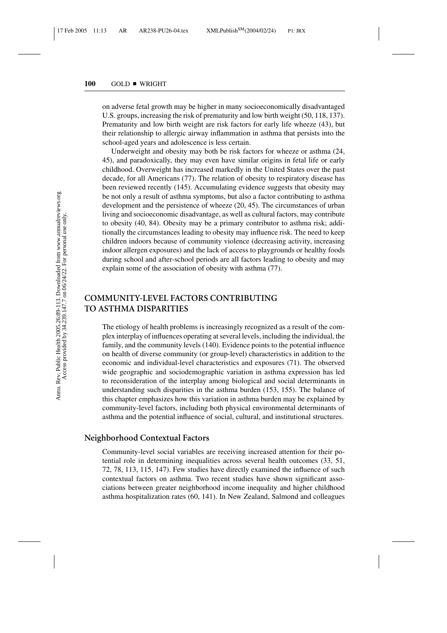on adverse fetal growth may be higher in many socioeconomically disadvantaged U.S. groups, increasing the risk of prematurity and low birth weight (50, 118, 137). Prematurity and low birth weight are risk factors for early life wheeze (43), but their relationship to allergic airway inflammation in asthma that persists into the school-aged years and adolescence is less certain.

Underweight and obesity may both be risk factors for wheeze or asthma (24, 45), and paradoxically, they may even have similar origins in fetal life or early childhood. Overweight has increased markedly in the United States over the past decade, for all Americans (77). The relation of obesity to respiratory disease has been reviewed recently (145). Accumulating evidence suggests that obesity may be not only a result of asthma symptoms, but also a factor contributing to asthma development and the persistence of wheeze (20, 45). The circumstances of urban living and socioeconomic disadvantage, as well as cultural factors, may contribute to obesity (40, 84). Obesity may be a primary contributor to asthma risk; additionally the circumstances leading to obesity may influence risk. The need to keep children indoors because of community violence (decreasing activity, increasing indoor allergen exposures) and the lack of access to playgrounds or healthy foods during school and after-school periods are all factors leading to obesity and may explain some of the association of obesity with asthma (77).

## **COMMUNITY-LEVEL FACTORS CONTRIBUTING TO ASTHMA DISPARITIES**

The etiology of health problems is increasingly recognized as a result of the complex interplay of influences operating at several levels, including the individual, the family, and the community levels (140). Evidence points to the potential influence on health of diverse community (or group-level) characteristics in addition to the economic and individual-level characteristics and exposures (71). The observed wide geographic and sociodemographic variation in asthma expression has led to reconsideration of the interplay among biological and social determinants in understanding such disparities in the asthma burden (153, 155). The balance of this chapter emphasizes how this variation in asthma burden may be explained by community-level factors, including both physical environmental determinants of asthma and the potential influence of social, cultural, and institutional structures.

#### **Neighborhood Contextual Factors**

Community-level social variables are receiving increased attention for their potential role in determining inequalities across several health outcomes (33, 51, 72, 78, 113, 115, 147). Few studies have directly examined the influence of such contextual factors on asthma. Two recent studies have shown significant associations between greater neighborhood income inequality and higher childhood asthma hospitalization rates (60, 141). In New Zealand, Salmond and colleagues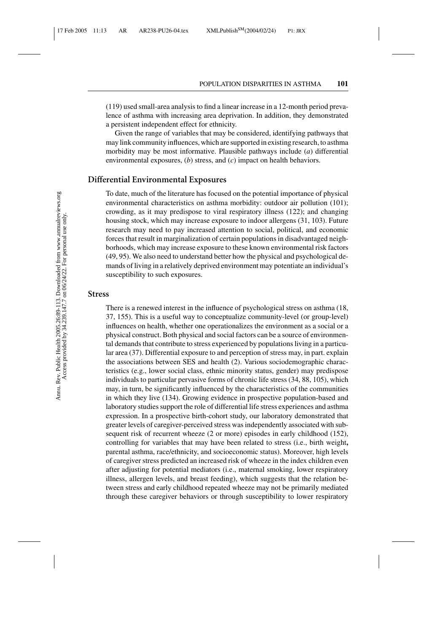(119) used small-area analysis to find a linear increase in a 12-month period prevalence of asthma with increasing area deprivation. In addition, they demonstrated a persistent independent effect for ethnicity.

Given the range of variables that may be considered, identifying pathways that may link community influences, which are supported in existing research, to asthma morbidity may be most informative. Plausible pathways include (*a*) differential environmental exposures, (*b*) stress, and (*c*) impact on health behaviors.

#### **Differential Environmental Exposures**

To date, much of the literature has focused on the potential importance of physical environmental characteristics on asthma morbidity: outdoor air pollution (101); crowding, as it may predispose to viral respiratory illness (122); and changing housing stock, which may increase exposure to indoor allergens (31, 103). Future research may need to pay increased attention to social, political, and economic forces that result in marginalization of certain populations in disadvantaged neighborhoods, which may increase exposure to these known environmental risk factors (49, 95). We also need to understand better how the physical and psychological demands of living in a relatively deprived environment may potentiate an individual's susceptibility to such exposures.

#### **Stress**

There is a renewed interest in the influence of psychological stress on asthma (18, 37, 155). This is a useful way to conceptualize community-level (or group-level) influences on health, whether one operationalizes the environment as a social or a physical construct. Both physical and social factors can be a source of environmental demands that contribute to stress experienced by populations living in a particular area (37). Differential exposure to and perception of stress may, in part. explain the associations between SES and health (2). Various sociodemographic characteristics (e.g., lower social class, ethnic minority status, gender) may predispose individuals to particular pervasive forms of chronic life stress (34, 88, 105), which may, in turn, be significantly influenced by the characteristics of the communities in which they live (134). Growing evidence in prospective population-based and laboratory studies support the role of differential life stress experiences and asthma expression. In a prospective birth-cohort study, our laboratory demonstrated that greater levels of caregiver-perceived stress was independently associated with subsequent risk of recurrent wheeze (2 or more) episodes in early childhood (152), controlling for variables that may have been related to stress (i.e., birth weight**,** parental asthma, race/ethnicity, and socioeconomic status). Moreover, high levels of caregiver stress predicted an increased risk of wheeze in the index children even after adjusting for potential mediators (i.e., maternal smoking, lower respiratory illness, allergen levels, and breast feeding), which suggests that the relation between stress and early childhood repeated wheeze may not be primarily mediated through these caregiver behaviors or through susceptibility to lower respiratory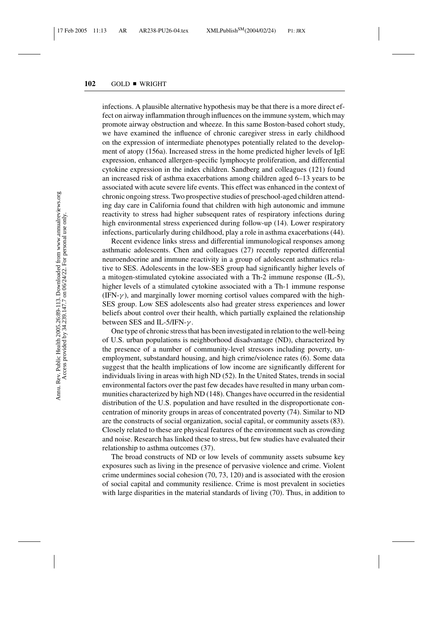infections. A plausible alternative hypothesis may be that there is a more direct effect on airway inflammation through influences on the immune system, which may promote airway obstruction and wheeze. In this same Boston-based cohort study, we have examined the influence of chronic caregiver stress in early childhood on the expression of intermediate phenotypes potentially related to the development of atopy (156a). Increased stress in the home predicted higher levels of IgE expression, enhanced allergen-specific lymphocyte proliferation, and differential cytokine expression in the index children. Sandberg and colleagues (121) found an increased risk of asthma exacerbations among children aged 6–13 years to be associated with acute severe life events. This effect was enhanced in the context of chronic ongoing stress. Two prospective studies of preschool-aged children attending day care in California found that children with high autonomic and immune reactivity to stress had higher subsequent rates of respiratory infections during high environmental stress experienced during follow-up (14). Lower respiratory infections, particularly during childhood, play a role in asthma exacerbations (44).

Recent evidence links stress and differential immunological responses among asthmatic adolescents. Chen and colleagues (27) recently reported differential neuroendocrine and immune reactivity in a group of adolescent asthmatics relative to SES. Adolescents in the low-SES group had significantly higher levels of a mitogen-stimulated cytokine associated with a Th-2 immune response (IL-5), higher levels of a stimulated cytokine associated with a Th-1 immune response  $(IFN-\gamma)$ , and marginally lower morning cortisol values compared with the high-SES group. Low SES adolescents also had greater stress experiences and lower beliefs about control over their health, which partially explained the relationship between SES and IL-5/IFN- $\gamma$ .

One type of chronic stress that has been investigated in relation to the well-being of U.S. urban populations is neighborhood disadvantage (ND), characterized by the presence of a number of community-level stressors including poverty, unemployment, substandard housing, and high crime/violence rates (6). Some data suggest that the health implications of low income are significantly different for individuals living in areas with high ND (52). In the United States, trends in social environmental factors over the past few decades have resulted in many urban communities characterized by high ND (148). Changes have occurred in the residential distribution of the U.S. population and have resulted in the disproportionate concentration of minority groups in areas of concentrated poverty (74). Similar to ND are the constructs of social organization, social capital, or community assets (83). Closely related to these are physical features of the environment such as crowding and noise. Research has linked these to stress, but few studies have evaluated their relationship to asthma outcomes (37).

The broad constructs of ND or low levels of community assets subsume key exposures such as living in the presence of pervasive violence and crime. Violent crime undermines social cohesion (70, 73, 120) and is associated with the erosion of social capital and community resilience. Crime is most prevalent in societies with large disparities in the material standards of living (70). Thus, in addition to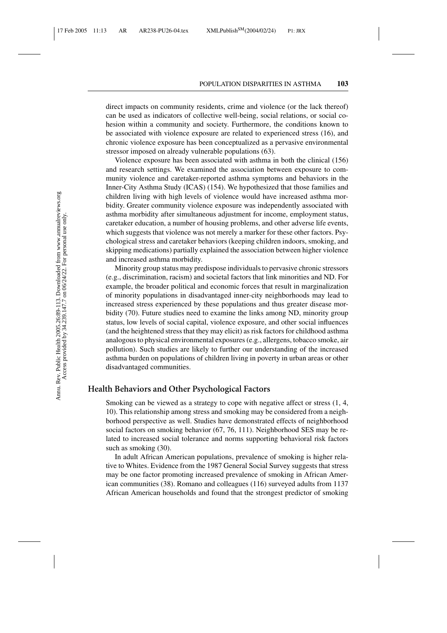direct impacts on community residents, crime and violence (or the lack thereof) can be used as indicators of collective well-being, social relations, or social cohesion within a community and society. Furthermore, the conditions known to be associated with violence exposure are related to experienced stress (16), and chronic violence exposure has been conceptualized as a pervasive environmental stressor imposed on already vulnerable populations (63).

Violence exposure has been associated with asthma in both the clinical (156) and research settings. We examined the association between exposure to community violence and caretaker-reported asthma symptoms and behaviors in the Inner-City Asthma Study (ICAS) (154). We hypothesized that those families and children living with high levels of violence would have increased asthma morbidity. Greater community violence exposure was independently associated with asthma morbidity after simultaneous adjustment for income, employment status, caretaker education, a number of housing problems, and other adverse life events, which suggests that violence was not merely a marker for these other factors. Psychological stress and caretaker behaviors (keeping children indoors, smoking, and skipping medications) partially explained the association between higher violence and increased asthma morbidity.

Minority group status may predispose individuals to pervasive chronic stressors (e.g., discrimination, racism) and societal factors that link minorities and ND. For example, the broader political and economic forces that result in marginalization of minority populations in disadvantaged inner-city neighborhoods may lead to increased stress experienced by these populations and thus greater disease morbidity (70). Future studies need to examine the links among ND, minority group status, low levels of social capital, violence exposure, and other social influences (and the heightened stress that they may elicit) as risk factors for childhood asthma analogous to physical environmental exposures (e.g., allergens, tobacco smoke, air pollution). Such studies are likely to further our understanding of the increased asthma burden on populations of children living in poverty in urban areas or other disadvantaged communities.

#### **Health Behaviors and Other Psychological Factors**

Smoking can be viewed as a strategy to cope with negative affect or stress (1, 4, 10). This relationship among stress and smoking may be considered from a neighborhood perspective as well. Studies have demonstrated effects of neighborhood social factors on smoking behavior (67, 76, 111). Neighborhood SES may be related to increased social tolerance and norms supporting behavioral risk factors such as smoking (30).

In adult African American populations, prevalence of smoking is higher relative to Whites. Evidence from the 1987 General Social Survey suggests that stress may be one factor promoting increased prevalence of smoking in African American communities (38). Romano and colleagues (116) surveyed adults from 1137 African American households and found that the strongest predictor of smoking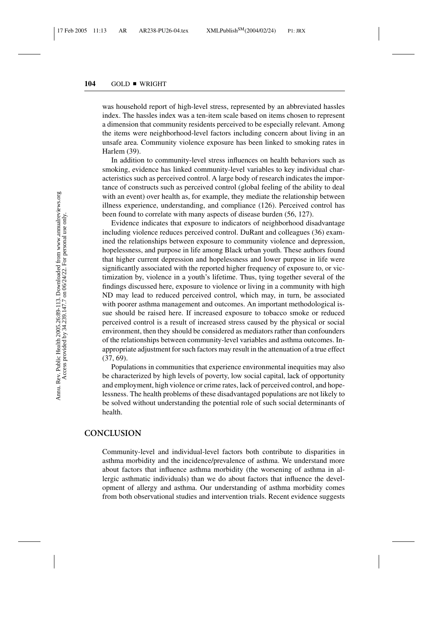was household report of high-level stress, represented by an abbreviated hassles index. The hassles index was a ten-item scale based on items chosen to represent a dimension that community residents perceived to be especially relevant. Among the items were neighborhood-level factors including concern about living in an unsafe area. Community violence exposure has been linked to smoking rates in Harlem (39).

In addition to community-level stress influences on health behaviors such as smoking, evidence has linked community-level variables to key individual characteristics such as perceived control. A large body of research indicates the importance of constructs such as perceived control (global feeling of the ability to deal with an event) over health as, for example, they mediate the relationship between illness experience, understanding, and compliance (126). Perceived control has been found to correlate with many aspects of disease burden (56, 127).

Evidence indicates that exposure to indicators of neighborhood disadvantage including violence reduces perceived control. DuRant and colleagues (36) examined the relationships between exposure to community violence and depression, hopelessness, and purpose in life among Black urban youth. These authors found that higher current depression and hopelessness and lower purpose in life were significantly associated with the reported higher frequency of exposure to, or victimization by, violence in a youth's lifetime. Thus, tying together several of the findings discussed here, exposure to violence or living in a community with high ND may lead to reduced perceived control, which may, in turn, be associated with poorer asthma management and outcomes. An important methodological issue should be raised here. If increased exposure to tobacco smoke or reduced perceived control is a result of increased stress caused by the physical or social environment, then they should be considered as mediators rather than confounders of the relationships between community-level variables and asthma outcomes. Inappropriate adjustment for such factors may result in the attenuation of a true effect (37, 69).

Populations in communities that experience environmental inequities may also be characterized by high levels of poverty, low social capital, lack of opportunity and employment, high violence or crime rates, lack of perceived control, and hopelessness. The health problems of these disadvantaged populations are not likely to be solved without understanding the potential role of such social determinants of health.

#### **CONCLUSION**

Community-level and individual-level factors both contribute to disparities in asthma morbidity and the incidence/prevalence of asthma. We understand more about factors that influence asthma morbidity (the worsening of asthma in allergic asthmatic individuals) than we do about factors that influence the development of allergy and asthma. Our understanding of asthma morbidity comes from both observational studies and intervention trials. Recent evidence suggests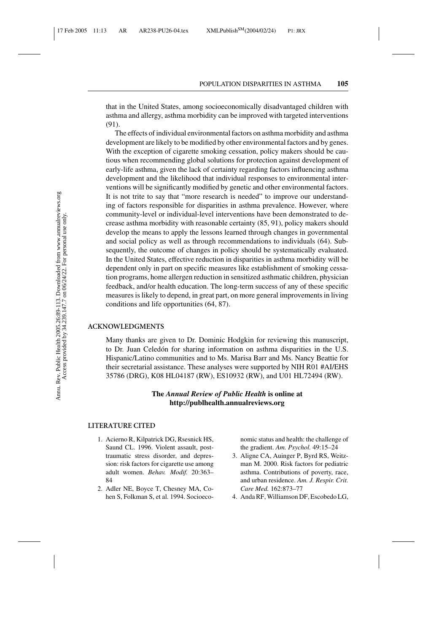that in the United States, among socioeconomically disadvantaged children with asthma and allergy, asthma morbidity can be improved with targeted interventions (91).

The effects of individual environmental factors on asthma morbidity and asthma development are likely to be modified by other environmental factors and by genes. With the exception of cigarette smoking cessation, policy makers should be cautious when recommending global solutions for protection against development of early-life asthma, given the lack of certainty regarding factors influencing asthma development and the likelihood that individual responses to environmental interventions will be significantly modified by genetic and other environmental factors. It is not trite to say that "more research is needed" to improve our understanding of factors responsible for disparities in asthma prevalence. However, where community-level or individual-level interventions have been demonstrated to decrease asthma morbidity with reasonable certainty (85, 91), policy makers should develop the means to apply the lessons learned through changes in governmental and social policy as well as through recommendations to individuals (64). Subsequently, the outcome of changes in policy should be systematically evaluated. In the United States, effective reduction in disparities in asthma morbidity will be dependent only in part on specific measures like establishment of smoking cessation programs, home allergen reduction in sensitized asthmatic children, physician feedback, and/or health education. The long-term success of any of these specific measures is likely to depend, in great part, on more general improvements in living conditions and life opportunities (64, 87).

#### **ACKNOWLEDGMENTS**

Many thanks are given to Dr. Dominic Hodgkin for reviewing this manuscript, to Dr. Juan Celedón for sharing information on asthma disparities in the U.S. Hispanic/Latino communities and to Ms. Marisa Barr and Ms. Nancy Beattie for their secretarial assistance. These analyses were supported by NIH R01 #AI/EHS 35786 (DRG), K08 HL04187 (RW), ES10932 (RW), and U01 HL72494 (RW).

#### **The** *Annual Review of Public Health* **is online at http://publhealth.annualreviews.org**

#### **LITERATURE CITED**

- 1. Acierno R, Kilpatrick DG, Rsesnick HS, Saund CL. 1996. Violent assault, posttraumatic stress disorder, and depression: risk factors for cigarette use among adult women. *Behav. Modif.* 20:363– 84
- 2. Adler NE, Boyce T, Chesney MA, Cohen S, Folkman S, et al. 1994. Socioeco-

nomic status and health: the challenge of the gradient. *Am. Psychol.* 49:15–24

- 3. Aligne CA, Auinger P, Byrd RS, Weitzman M. 2000. Risk factors for pediatric asthma. Contributions of poverty, race, and urban residence. *Am. J. Respir. Crit. Care Med.* 162:873–77
- 4. Anda RF, Williamson DF, Escobedo LG,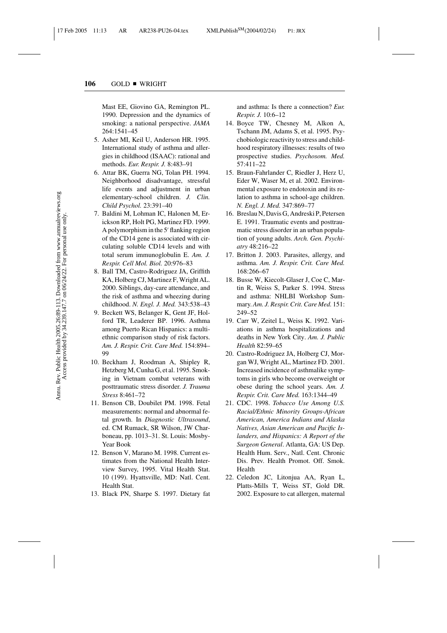Mast EE, Giovino GA, Remington PL. 1990. Depression and the dynamics of smoking: a national perspective. *JAMA* 264:1541–45

- 5. Asher MI, Keil U, Anderson HR. 1995. International study of asthma and allergies in childhood (ISAAC): rational and methods. *Eur. Respir. J.* 8:483–91
- 6. Attar BK, Guerra NG, Tolan PH. 1994. Neighborhood disadvantage, stressful life events and adjustment in urban elementary-school children. *J. Clin. Child Psychol.* 23:391–40
- 7. Baldini M, Lohman IC, Halonen M, Erickson RP, Holt PG, Martinez FD. 1999. A polymorphism in the 5' flanking region of the CD14 gene is associated with circulating soluble CD14 levels and with total serum immunoglobulin E. *Am. J. Respir. Cell Mol. Biol.* 20:976–83
- 8. Ball TM, Castro-Rodriguez JA, Griffith KA, Holberg CJ, Martinez F, Wright AL. 2000. Siblings, day-care attendance, and the risk of asthma and wheezing during childhood. *N. Engl. J. Med.* 343:538–43
- 9. Beckett WS, Belanger K, Gent JF, Holford TR, Leaderer BP. 1996. Asthma among Puerto Rican Hispanics: a multiethnic comparison study of risk factors. *Am. J. Respir. Crit. Care Med.* 154:894– 99
- 10. Beckham J, Roodman A, Shipley R, Hetzberg M, Cunha G, et al. 1995. Smoking in Vietnam combat veterans with posttraumatic stress disorder. *J. Trauma Stress* 8:461–72
- 11. Benson CB, Doubilet PM. 1998. Fetal measurements: normal and abnormal fetal growth. In *Diagnostic Ultrasound*, ed. CM Rumack, SR Wilson, JW Charboneau, pp. 1013–31. St. Louis: Mosby-Year Book
- 12. Benson V, Marano M. 1998. Current estimates from the National Health Interview Survey, 1995. Vital Health Stat. 10 (199). Hyattsville, MD: Natl. Cent. Health Stat.
- 13. Black PN, Sharpe S. 1997. Dietary fat

and asthma: Is there a connection? *Eur. Respir. J.* 10:6–12

- 14. Boyce TW, Chesney M, Alkon A, Tschann JM, Adams S, et al. 1995. Psychobiologic reactivity to stress and childhood respiratory illnesses: results of two prospective studies. *Psychosom. Med.* 57:411–22
- 15. Braun-Fahrlander C, Riedler J, Herz U, Eder W, Waser M, et al. 2002. Environmental exposure to endotoxin and its relation to asthma in school-age children. *N. Engl. J. Med.* 347:869–77
- 16. Breslau N, Davis G, Andreski P, Petersen E. 1991. Traumatic events and posttraumatic stress disorder in an urban population of young adults. *Arch. Gen. Psychiatry* 48:216–22
- 17. Britton J. 2003. Parasites, allergy, and asthma. *Am. J. Respir. Crit. Care Med.* 168:266–67
- 18. Busse W, Kiecolt-Glaser J, Coe C, Martin R, Weiss S, Parker S. 1994. Stress and asthma: NHLBI Workshop Summary. *Am. J. Respir. Crit. Care Med.* 151: 249–52
- 19. Carr W, Zeitel L, Weiss K. 1992. Variations in asthma hospitalizations and deaths in New York City. *Am. J. Public Health* 82:59–65
- 20. Castro-Rodriguez JA, Holberg CJ, Morgan WJ, Wright AL, Martinez FD. 2001. Increased incidence of asthmalike symptoms in girls who become overweight or obese during the school years. *Am. J. Respir. Crit. Care Med.* 163:1344–49
- 21. CDC. 1998. *Tobacco Use Among U.S. Racial/Ethnic Minority Groups-African American, America Indians and Alaska Natives, Asian American and Pacific Islanders, and Hispanics: A Report of the Surgeon General*. Atlanta, GA: US Dep. Health Hum. Serv., Natl. Cent. Chronic Dis. Prev. Health Promot. Off. Smok. Health
- 22. Celedon JC, Litonjua AA, Ryan L, Platts-Mills T, Weiss ST, Gold DR. 2002. Exposure to cat allergen, maternal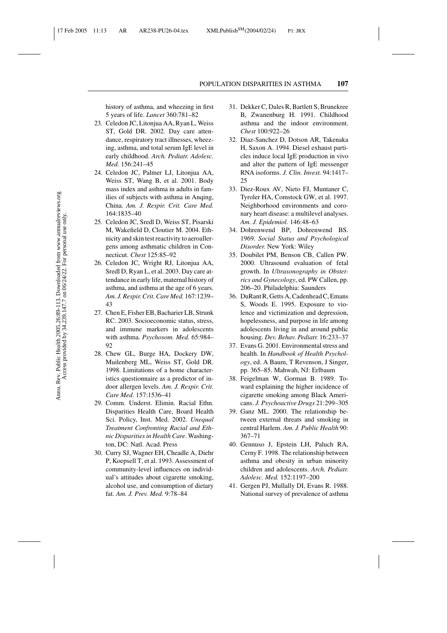history of asthma, and wheezing in first 5 years of life. *Lancet* 360:781–82

- 23. Celedon JC, Litonjua AA, Ryan L, Weiss ST, Gold DR. 2002. Day care attendance, respiratory tract illnesses, wheezing, asthma, and total serum IgE level in early childhood. *Arch. Pediatr. Adolesc. Med.* 156:241–45
- 24. Celedon JC, Palmer LJ, Litonjua AA, Weiss ST, Wang B, et al. 2001. Body mass index and asthma in adults in families of subjects with asthma in Anqing, China. *Am. J. Respir. Crit. Care Med.* 164:1835–40
- 25. Celedon JC, Sredl D, Weiss ST, Pisarski M, Wakefield D, Cloutier M. 2004. Ethnicity and skin test reactivity to aeroallergens among asthmatic children in Connecticut. *Chest* 125:85–92
- 26. Celedon JC, Wright RJ, Litonjua AA, Sredl D, Ryan L, et al. 2003. Day care attendance in early life, maternal history of asthma, and asthma at the age of 6 years. *Am. J. Respir. Crit. Care Med.* 167:1239– 43
- 27. Chen E, Fisher EB, Bacharier LB, Strunk RC. 2003. Socioeconomic status, stress, and immune markers in adolescents with asthma. *Psychosom. Med.* 65:984– 92
- 28. Chew GL, Burge HA, Dockery DW, Muilenberg ML, Weiss ST, Gold DR. 1998. Limitations of a home characteristics questionnaire as a predictor of indoor allergen levels. *Am. J. Respir. Crit. Care Med.* 157:1536–41
- 29. Comm. Underst. Elimin. Racial Ethn. Disparities Health Care, Board Health Sci. Policy, Inst. Med. 2002. *Unequal Treatment Confronting Racial and Ethnic Disparities in Health Care*. Washington, DC: Natl. Acad. Press
- 30. Curry SJ, Wagner EH, Cheadle A, Diehr P, Koepsell T, et al. 1993. Assessment of community-level influences on individual's attitudes about cigarette smoking, alcohol use, and consumption of dietary fat. *Am. J. Prev. Med.* 9:78–84
- 31. Dekker C, Dales R, Bartlett S, Brunekree B, Zwanenburg H. 1991. Childhood asthma and the indoor environment. *Chest* 100:922–26
- 32. Diaz-Sanchez D, Dotson AR, Takenaka H, Saxon A. 1994. Diesel exhaust particles induce local IgE production in vivo and alter the pattern of IgE messenger RNA isoforms. *J. Clin. Invest.* 94:1417– 25
- 33. Diez-Roux AV, Nieto FJ, Muntaner C, Tyroler HA, Comstock GW, et al. 1997. Neighborhood environments and coronary heart disease: a multilevel analyses. *Am. J. Epidemiol.* 146:48–63
- 34. Dohrenwend BP, Dohrenwend BS. 1969. *Social Status and Psychological Disorder.* New York: Wiley
- 35. Doubilet PM, Benson CB, Callen PW. 2000. Ultrasound evaluation of fetal growth. In *Ultrasonography in Obstetrics and Gynecology*, ed. PW Callen, pp. 206–20. Philadelphia: Saunders
- 36. DuRant R, Getts A, Cadenhead C, Emans S, Woods E. 1995. Exposure to violence and victimization and depression, hopelessness, and purpose in life among adolescents living in and around public housing. *Dev. Behav. Pediatr.* 16:233–37
- 37. Evans G. 2001. Environmental stress and health. In *Handbook of Health Psychology*, ed. A Baum, T Revenson, J Singer, pp. 365–85. Mahwah, NJ: Erlbaum
- 38. Feigelman W, Gorman B. 1989. Toward explaining the higher incidence of cigarette smoking among Black Americans. *J. Psychoactive Drugs* 21:299–305
- 39. Ganz ML. 2000. The relationship between external threats and smoking in central Harlem. *Am. J. Public Health* 90: 367–71
- 40. Gennuso J, Epstein LH, Paluch RA, Cerny F. 1998. The relationship between asthma and obesity in urban minority children and adolescents. *Arch. Pediatr. Adolesc. Med.* 152:1197–200
- 41. Gergen PJ, Mullally DI, Evans R. 1988. National survey of prevalence of asthma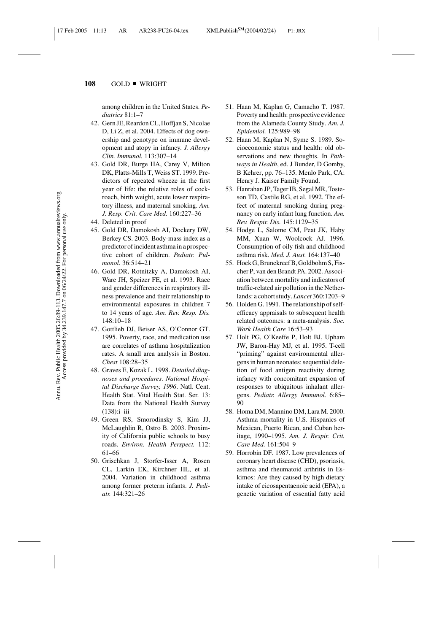among children in the United States. *Pediatrics* 81:1–7

- 42. Gern JE, Reardon CL, Hoffjan S, Nicolae D, Li Z, et al. 2004. Effects of dog ownership and genotype on immune development and atopy in infancy. *J. Allergy Clin. Immunol.* 113:307–14
- 43. Gold DR, Burge HA, Carey V, Milton DK, Platts-Mills T, Weiss ST. 1999. Predictors of repeated wheeze in the first year of life: the relative roles of cockroach, birth weight, acute lower respiratory illness, and maternal smoking. *Am. J. Resp. Crit. Care Med.* 160:227–36
- 44. Deleted in proof
- 45. Gold DR, Damokosh AI, Dockery DW, Berkey CS. 2003. Body-mass index as a predictor of incident asthma in a prospective cohort of children. *Pediatr. Pulmonol.* 36:514–21
- 46. Gold DR, Rotnitzky A, Damokosh AI, Ware JH, Speizer FE, et al. 1993. Race and gender differences in respiratory illness prevalence and their relationship to environmental exposures in children 7 to 14 years of age. *Am. Rev. Resp. Dis.* 148:10–18
- 47. Gottlieb DJ, Beiser AS, O'Connor GT. 1995. Poverty, race, and medication use are correlates of asthma hospitalization rates. A small area analysis in Boston. *Chest* 108:28–35
- 48. Graves E, Kozak L. 1998. *Detailed diagnoses and procedures. National Hospital Discharge Survey, 1996*. Natl. Cent. Health Stat. Vital Health Stat. Ser. 13: Data from the National Health Survey  $(138):i-iii$
- 49. Green RS, Smorodinsky S, Kim JJ, McLaughlin R, Ostro B. 2003. Proximity of California public schools to busy roads. *Environ. Health Perspect.* 112: 61–66
- 50. Grischkan J, Storfer-Isser A, Rosen CL, Larkin EK, Kirchner HL, et al. 2004. Variation in childhood asthma among former preterm infants. *J. Pediatr.* 144:321–26
- 51. Haan M, Kaplan G, Camacho T. 1987. Poverty and health: prospective evidence from the Alameda County Study. *Am. J. Epidemiol.* 125:989–98
- 52. Haan M, Kaplan N, Syme S. 1989. Socioeconomic status and health: old observations and new thoughts. In *Pathways in Health*, ed. J Bunder, D Gomby, B Kehrer, pp. 76–135. Menlo Park, CA: Henry J. Kaiser Family Found.
- 53. Hanrahan JP, Tager IB, Segal MR, Tosteson TD, Castile RG, et al. 1992. The effect of maternal smoking during pregnancy on early infant lung function. *Am. Rev. Respir. Dis.* 145:1129–35
- 54. Hodge L, Salome CM, Peat JK, Haby MM, Xuan W, Woolcock AJ. 1996. Consumption of oily fish and childhood asthma risk. *Med. J. Aust.* 164:137–40
- 55. Hoek G, Brunekreef B, Goldbohm S, Fischer P, van den Brandt PA. 2002. Association between mortality and indicators of traffic-related air pollution in the Netherlands: a cohort study. *Lancet* 360:1203–9
- 56. Holden G. 1991. The relationship of selfefficacy appraisals to subsequent health related outcomes: a meta-analysis. *Soc. Work Health Care* 16:53–93
- 57. Holt PG, O'Keeffe P, Holt BJ, Upham JW, Baron-Hay MJ, et al. 1995. T-cell "priming" against environmental allergens in human neonates: sequential deletion of food antigen reactivity during infancy with concomitant expansion of responses to ubiquitous inhalant allergens. *Pediatr. Allergy Immunol.* 6:85– 90
- 58. Homa DM, Mannino DM, Lara M. 2000. Asthma mortality in U.S. Hispanics of Mexican, Puerto Rican, and Cuban heritage, 1990–1995. *Am. J. Respir. Crit. Care Med.* 161:504–9
- 59. Horrobin DF. 1987. Low prevalences of coronary heart disease (CHD), psoriasis, asthma and rheumatoid arthritis in Eskimos: Are they caused by high dietary intake of eicosapentaenoic acid (EPA), a genetic variation of essential fatty acid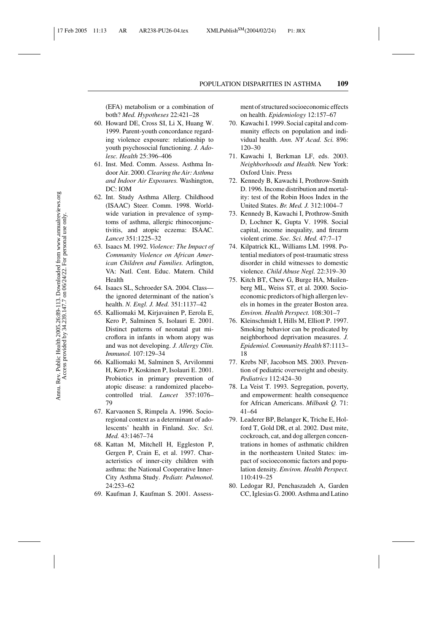(EFA) metabolism or a combination of both? *Med. Hypotheses* 22:421–28

- 60. Howard DE, Cross SI, Li X, Huang W. 1999. Parent-youth concordance regarding violence exposure: relationship to youth psychosocial functioning. *J. Adolesc. Health* 25:396–406
- 61. Inst. Med. Comm. Assess. Asthma Indoor Air. 2000.*Clearing the Air: Asthma and Indoor Air Exposures.* Washington, DC: IOM
- 62. Int. Study Asthma Allerg. Childhood (ISAAC) Steer. Comm. 1998. Worldwide variation in prevalence of symptoms of asthma, allergic rhinoconjunctivitis, and atopic eczema: ISAAC. *Lancet* 351:1225–32
- 63. Isaacs M. 1992. *Violence: The Impact of Community Violence on African American Children and Families.* Arlington, VA: Natl. Cent. Educ. Matern. Child Health
- 64. Isaacs SL, Schroeder SA. 2004. Class the ignored determinant of the nation's health. *N. Engl. J. Med.* 351:1137–42
- 65. Kalliomaki M, Kirjavainen P, Eerola E, Kero P, Salminen S, Isolauri E. 2001. Distinct patterns of neonatal gut microflora in infants in whom atopy was and was not developing. *J. Allergy Clin. Immunol.* 107:129–34
- 66. Kalliomaki M, Salminen S, Arvilommi H, Kero P, Koskinen P, Isolauri E. 2001. Probiotics in primary prevention of atopic disease: a randomized placebocontrolled trial. *Lancet* 357:1076– 79
- 67. Karvaonen S, Rimpela A. 1996. Socioregional context as a determinant of adolescents' health in Finland. *Soc. Sci. Med.* 43:1467–74
- 68. Kattan M, Mitchell H, Eggleston P, Gergen P, Crain E, et al. 1997. Characteristics of inner-city children with asthma: the National Cooperative Inner-City Asthma Study. *Pediatr. Pulmonol.* 24:253–62
- 69. Kaufman J, Kaufman S. 2001. Assess-

ment of structured socioeconomic effects on health. *Epidemiology* 12:157–67

- 70. Kawachi I. 1999. Social capital and community effects on population and individual health. *Ann. NY Acad. Sci.* 896: 120–30
- 71. Kawachi I, Berkman LF, eds. 2003. *Neighborhoods and Health.* New York: Oxford Univ. Press
- 72. Kennedy B, Kawachi I, Prothrow-Smith D. 1996. Income distribution and mortality: test of the Robin Hoos Index in the United States. *Br. Med. J.* 312:1004–7
- 73. Kennedy B, Kawachi I, Prothrow-Smith D, Lochner K, Gupta V. 1998. Social capital, income inequality, and firearm violent crime. *Soc. Sci. Med.* 47:7–17
- 74. Kilpatrick KL, Williams LM. 1998. Potential mediators of post-traumatic stress disorder in child witnesses to domestic violence. *Child Abuse Negl.* 22:319–30
- 75. Kitch BT, Chew G, Burge HA, Muilenberg ML, Weiss ST, et al. 2000. Socioeconomic predictors of high allergen levels in homes in the greater Boston area. *Environ. Health Perspect.* 108:301–7
- 76. Kleinschmidt I, Hills M, Elliott P. 1997. Smoking behavior can be predicated by neighborhood deprivation measures. *J. Epidemiol. Community Health* 87:1113– 18
- 77. Krebs NF, Jacobson MS. 2003. Prevention of pediatric overweight and obesity. *Pediatrics* 112:424–30
- 78. La Veist T. 1993. Segregation, poverty, and empowerment: health consequence for African Americans. *Milbank Q.* 71: 41–64
- 79. Leaderer BP, Belanger K, Triche E, Holford T, Gold DR, et al. 2002. Dust mite, cockroach, cat, and dog allergen concentrations in homes of asthmatic children in the northeastern United States: impact of socioeconomic factors and population density. *Environ. Health Perspect.* 110:419–25
- 80. Ledogar RJ, Penchaszadeh A, Garden CC, Iglesias G. 2000. Asthma and Latino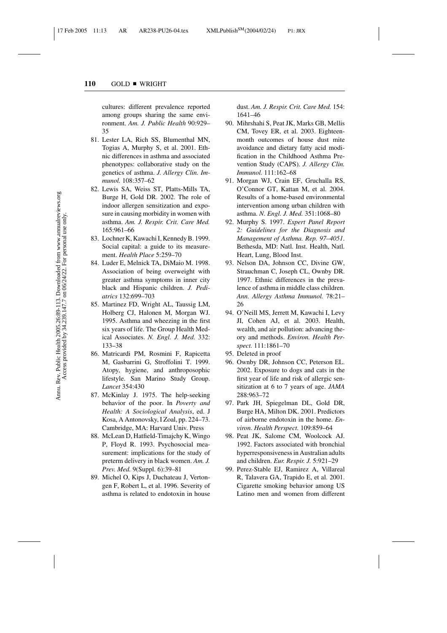cultures: different prevalence reported among groups sharing the same environment. *Am. J. Public Health* 90:929– 35

- 81. Lester LA, Rich SS, Blumenthal MN, Togias A, Murphy S, et al. 2001. Ethnic differences in asthma and associated phenotypes: collaborative study on the genetics of asthma. *J. Allergy Clin. Immunol.* 108:357–62
- 82. Lewis SA, Weiss ST, Platts-Mills TA, Burge H, Gold DR. 2002. The role of indoor allergen sensitization and exposure in causing morbidity in women with asthma. *Am. J. Respir. Crit. Care Med.* 165:961–66
- 83. Lochner K, Kawachi I, Kennedy B. 1999. Social capital: a guide to its measurement. *Health Place* 5:259–70
- 84. Luder E, Melnick TA, DiMaio M. 1998. Association of being overweight with greater asthma symptoms in inner city black and Hispanic children. *J. Pediatrics* 132:699–703
- 85. Martinez FD, Wright AL, Taussig LM, Holberg CJ, Halonen M, Morgan WJ. 1995. Asthma and wheezing in the first six years of life. The Group Health Medical Associates. *N. Engl. J. Med.* 332: 133–38
- 86. Matricardi PM, Rosmini F, Rapicetta M, Gasbarrini G, Stroffolini T. 1999. Atopy, hygiene, and anthroposophic lifestyle. San Marino Study Group. *Lancet* 354:430
- 87. McKinlay J. 1975. The help-seeking behavior of the poor. In *Poverty and Health: A Sociological Analysis*, ed. J Kosa, A Antonovsky, I Zoal, pp. 224–73. Cambridge, MA: Harvard Univ. Press
- 88. McLean D, Hatfield-Timajchy K, Wingo P, Floyd R. 1993. Psychosocial measurement: implications for the study of preterm delivery in black women. *Am. J. Prev. Med.* 9(Suppl. 6):39–81
- 89. Michel O, Kips J, Duchateau J, Vertongen F, Robert L, et al. 1996. Severity of asthma is related to endotoxin in house

dust. *Am. J. Respir. Crit. Care Med.* 154: 1641–46

- 90. Mihrshahi S, Peat JK, Marks GB, Mellis CM, Tovey ER, et al. 2003. Eighteenmonth outcomes of house dust mite avoidance and dietary fatty acid modification in the Childhood Asthma Prevention Study (CAPS). *J. Allergy Clin. Immunol.* 111:162–68
- 91. Morgan WJ, Crain EF, Gruchalla RS, O'Connor GT, Kattan M, et al. 2004. Results of a home-based environmental intervention among urban children with asthma. *N. Engl. J. Med.* 351:1068–80
- 92. Murphy S. 1997. *Expert Panel Report 2: Guidelines for the Diagnosis and Management of Asthma. Rep. 97–4051*. Bethesda, MD: Natl. Inst. Health, Natl. Heart, Lung, Blood Inst.
- 93. Nelson DA, Johnson CC, Divine GW, Strauchman C, Joseph CL, Ownby DR. 1997. Ethnic differences in the prevalence of asthma in middle class children. *Ann. Allergy Asthma Immunol.* 78:21– 26
- 94. O'Neill MS, Jerrett M, Kawachi I, Levy JI, Cohen AJ, et al. 2003. Health, wealth, and air pollution: advancing theory and methods. *Environ. Health Perspect.* 111:1861–70
- 95. Deleted in proof
- 96. Ownby DR, Johnson CC, Peterson EL. 2002. Exposure to dogs and cats in the first year of life and risk of allergic sensitization at 6 to 7 years of age. *JAMA* 288:963–72
- 97. Park JH, Spiegelman DL, Gold DR, Burge HA, Milton DK. 2001. Predictors of airborne endotoxin in the home. *Environ. Health Perspect.* 109:859–64
- 98. Peat JK, Salome CM, Woolcock AJ. 1992. Factors associated with bronchial hyperresponsiveness in Australian adults and children. *Eur. Respir. J.* 5:921–29
- 99. Perez-Stable EJ, Ramirez A, Villareal R, Talavera GA, Trapido E, et al. 2001. Cigarette smoking behavior among US Latino men and women from different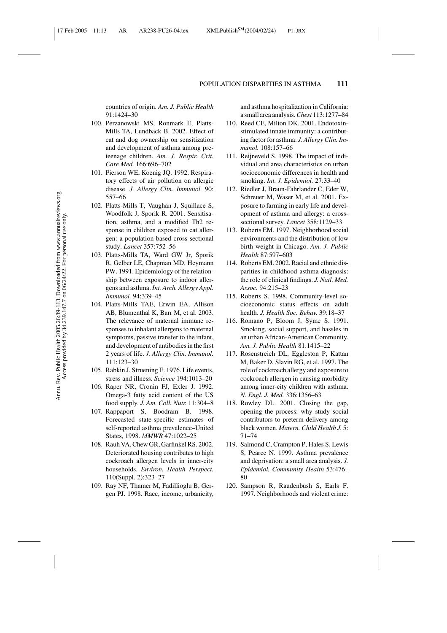countries of origin. *Am. J. Public Health* 91:1424–30

- 100. Perzanowski MS, Ronmark E, Platts-Mills TA, Lundback B. 2002. Effect of cat and dog ownership on sensitization and development of asthma among preteenage children. *Am. J. Respir. Crit. Care Med.* 166:696–702
- 101. Pierson WE, Koenig JQ. 1992. Respiratory effects of air pollution on allergic disease. *J. Allergy Clin. Immunol.* 90: 557–66
- 102. Platts-Mills T, Vaughan J, Squillace S, Woodfolk J, Sporik R. 2001. Sensitisation, asthma, and a modified Th2 response in children exposed to cat allergen: a population-based cross-sectional study. *Lancet* 357:752–56
- 103. Platts-Mills TA, Ward GW Jr, Sporik R, Gelber LE, Chapman MD, Heymann PW. 1991. Epidemiology of the relationship between exposure to indoor allergens and asthma. *Int. Arch. Allergy Appl. Immunol.* 94:339–45
- 104. Platts-Mills TAE, Erwin EA, Allison AB, Blumenthal K, Barr M, et al. 2003. The relevance of maternal immune responses to inhalant allergens to maternal symptoms, passive transfer to the infant, and development of antibodies in the first 2 years of life. *J. Allergy Clin. Immunol.* 111:123–30
- 105. Rabkin J, Struening E. 1976. Life events, stress and illness. *Science* 194:1013–20
- 106. Raper NR, Cronin FJ, Exler J. 1992. Omega-3 fatty acid content of the US food supply. *J. Am. Coll. Nutr.* 11:304–8
- 107. Rappaport S, Boodram B. 1998. Forecasted state-specific estimates of self-reported asthma prevalence–United States, 1998. *MMWR* 47:1022–25
- 108. Rauh VA, Chew GR, Garfinkel RS. 2002. Deteriorated housing contributes to high cockroach allergen levels in inner-city households. *Environ. Health Perspect.* 110(Suppl. 2):323–27
- 109. Ray NF, Thamer M, Fadillioglu B, Gergen PJ. 1998. Race, income, urbanicity,

and asthma hospitalization in California: a small area analysis.*Chest* 113:1277–84

- 110. Reed CE, Milton DK. 2001. Endotoxinstimulated innate immunity: a contributing factor for asthma. *J. Allergy Clin. Immunol.* 108:157–66
- 111. Reijneveld S. 1998. The impact of individual and area characteristics on urban socioeconomic differences in health and smoking. *Int. J. Epidemiol.* 27:33–40
- 112. Riedler J, Braun-Fahrlander C, Eder W, Schreuer M, Waser M, et al. 2001. Exposure to farming in early life and development of asthma and allergy: a crosssectional survey. *Lancet* 358:1129–33
- 113. Roberts EM. 1997. Neighborhood social environments and the distribution of low birth weight in Chicago. *Am. J. Public Health* 87:597–603
- 114. Roberts EM. 2002. Racial and ethnic disparities in childhood asthma diagnosis: the role of clinical findings. *J. Natl. Med. Assoc.* 94:215–23
- 115. Roberts S. 1998. Community-level socioeconomic status effects on adult health. *J. Health Soc. Behav.* 39:18–37
- 116. Romano P, Bloom J, Syme S. 1991. Smoking, social support, and hassles in an urban African-American Community. *Am. J. Public Health* 81:1415–22
- 117. Rosenstreich DL, Eggleston P, Kattan M, Baker D, Slavin RG, et al. 1997. The role of cockroach allergy and exposure to cockroach allergen in causing morbidity among inner-city children with asthma. *N. Engl. J. Med.* 336:1356–63
- 118. Rowley DL. 2001. Closing the gap, opening the process: why study social contributors to preterm delivery among black women. *Matern. Child Health J.* 5: 71–74
- 119. Salmond C, Crampton P, Hales S, Lewis S, Pearce N. 1999. Asthma prevalence and deprivation: a small area analysis. *J. Epidemiol. Community Health* 53:476– 80
- 120. Sampson R, Raudenbush S, Earls F. 1997. Neighborhoods and violent crime: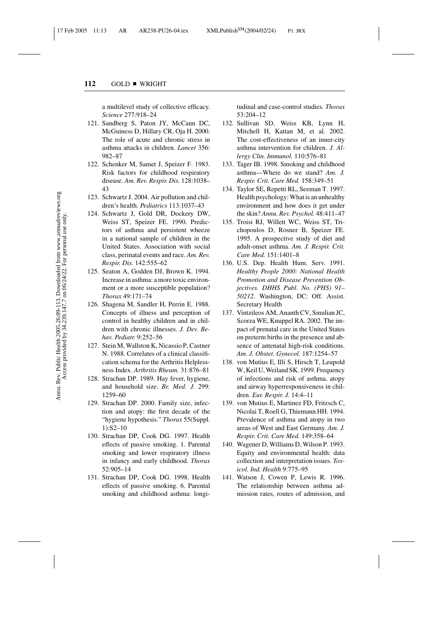a multilevel study of collective efficacy. *Science* 277:918–24

- 121. Sandberg S, Paton JY, McCann DC, McGuiness D, Hillary CR, Oja H. 2000. The role of acute and chronic stress in asthma attacks in children. *Lancet* 356: 982–87
- 122. Schenker M, Samet J, Speizer F. 1983. Risk factors for childhood respiratory disease. *Am. Rev. Respir. Dis.* 128:1038– 43
- 123. Schwartz J. 2004. Air pollution and children's health. *Pediatrics* 113:1037–43
- 124. Schwartz J, Gold DR, Dockery DW, Weiss ST, Speizer FE. 1990. Predictors of asthma and persistent wheeze in a national sample of children in the United States. Association with social class, perinatal events and race. *Am. Rev. Respir. Dis.* 142:555–62
- 125. Seaton A, Godden DJ, Brown K. 1994. Increase in asthma: a more toxic environment or a more susceptible population? *Thorax* 49:171–74
- 126. Shagena M, Sandler H, Perrin E. 1988. Concepts of illness and perception of control in healthy children and in children with chronic illnesses. *J. Dev. Behav. Pediatr.* 9:252–56
- 127. Stein M, Wallston K, Nicassio P, Castner N. 1988. Correlates of a clinical classification schema for the Arthritis Helplessness Index. *Arthritis Rheum.* 31:876–81
- 128. Strachan DP. 1989. Hay fever, hygiene, and household size. *Br. Med. J.* 299: 1259–60
- 129. Strachan DP. 2000. Family size, infection and atopy: the first decade of the "hygiene hypothesis." *Thorax* 55(Suppl. 1):S2–10
- 130. Strachan DP, Cook DG. 1997. Health effects of passive smoking. 1. Parental smoking and lower respiratory illness in infancy and early childhood. *Thorax* 52:905–14
- 131. Strachan DP, Cook DG. 1998. Health effects of passive smoking. 6. Parental smoking and childhood asthma: longi-

tudinal and case-control studies. *Thorax* 53:204–12

- 132. Sullivan SD, Weiss KB, Lynn H, Mitchell H, Kattan M, et al. 2002. The cost-effectiveness of an inner-city asthma intervention for children. *J. Allergy Clin. Immunol.* 110:576–81
- 133. Tager IB. 1998. Smoking and childhood asthma—Where do we stand? *Am. J. Respir. Crit. Care Med.* 158:349–51
- 134. Taylor SE, Repetti RL, Seeman T. 1997. Health psychology: What is an unhealthy environment and how does it get under the skin? *Annu. Rev. Psychol.* 48:411–47
- 135. Troisi RJ, Willett WC, Weiss ST, Trichopoulos D, Rosner B, Speizer FE. 1995. A prospective study of diet and adult-onset asthma. *Am. J. Respir. Crit. Care Med.* 151:1401–8
- 136. U.S. Dep. Health Hum. Serv. 1991. *Healthy People 2000: National Health Promotion and Disease Prevention Objectives. DHHS Publ. No. (PHS) 91– 50212*. Washington, DC: Off. Assist. Secretary Health
- 137. Vintzileos AM, Ananth CV, Smulian JC, Scorza WE, Knuppel RA. 2002. The impact of prenatal care in the United States on preterm births in the presence and absence of antenatal high-risk conditions. *Am. J. Obstet. Gynecol.* 187:1254–57
- 138. von Mutius E, Illi S, Hirsch T, Leupold W, Keil U, Weiland SK. 1999. Frequency of infections and risk of asthma, atopy and airway hyperresponsiveness in children. *Eur. Respir. J.* 14:4–11
- 139. von Mutius E, Martinez FD, Fritzsch C, Nicolai T, Roell G, Thiemann HH. 1994. Prevalence of asthma and atopy in two areas of West and East Germany. *Am. J. Respir. Crit. Care Med.* 149:358–64
- 140. Wagener D, Williams D, Wilson P. 1993. Equity and environmental health: data collection and interpretation issues. *Toxicol. Ind. Health* 9:775–95
- 141. Watson J, Cowen P, Lewis R. 1996. The relationship between asthma admission rates, routes of admission, and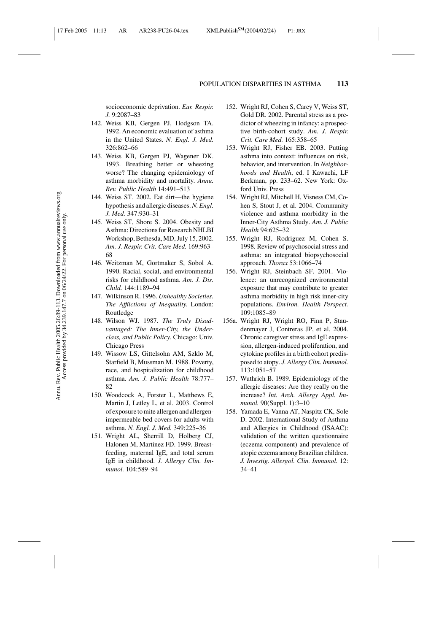socioeconomic deprivation. *Eur. Respir. J.* 9:2087–83

- 142. Weiss KB, Gergen PJ, Hodgson TA. 1992. An economic evaluation of asthma in the United States. *N. Engl. J. Med.* 326:862–66
- 143. Weiss KB, Gergen PJ, Wagener DK. 1993. Breathing better or wheezing worse? The changing epidemiology of asthma morbidity and mortality. *Annu. Rev. Public Health* 14:491–513
- 144. Weiss ST. 2002. Eat dirt—the hygiene hypothesis and allergic diseases.*N. Engl. J. Med.* 347:930–31
- 145. Weiss ST, Shore S. 2004. Obesity and Asthma: Directions for Research NHLBI Workshop, Bethesda, MD, July 15, 2002. *Am. J. Respir. Crit. Care Med.* 169:963– 68
- 146. Weitzman M, Gortmaker S, Sobol A. 1990. Racial, social, and environmental risks for childhood asthma. *Am. J. Dis. Child.* 144:1189–94
- 147. Wilkinson R. 1996. *Unhealthy Societies. The Afflictions of Inequality.* London: Routledge
- 148. Wilson WJ. 1987. *The Truly Disadvantaged: The Inner-City, the Underclass, and Public Policy*. Chicago: Univ. Chicago Press
- 149. Wissow LS, Gittelsohn AM, Szklo M, Starfield B, Mussman M. 1988. Poverty, race, and hospitalization for childhood asthma. *Am. J. Public Health* 78:777– 82
- 150. Woodcock A, Forster L, Matthews E, Martin J, Letley L, et al. 2003. Control of exposure to mite allergen and allergenimpermeable bed covers for adults with asthma. *N. Engl. J. Med.* 349:225–36
- 151. Wright AL, Sherrill D, Holberg CJ, Halonen M, Martinez FD. 1999. Breastfeeding, maternal IgE, and total serum IgE in childhood. *J. Allergy Clin. Immunol.* 104:589–94
- 152. Wright RJ, Cohen S, Carey V, Weiss ST, Gold DR. 2002. Parental stress as a predictor of wheezing in infancy: a prospective birth-cohort study. *Am. J. Respir. Crit. Care Med.* 165:358–65
- 153. Wright RJ, Fisher EB. 2003. Putting asthma into context: influences on risk, behavior, and intervention. In *Neighborhoods and Health*, ed. I Kawachi, LF Berkman, pp. 233–62. New York: Oxford Univ. Press
- 154. Wright RJ, Mitchell H, Visness CM, Cohen S, Stout J, et al. 2004. Community violence and asthma morbidity in the Inner-City Asthma Study. *Am. J. Public Health* 94:625–32
- 155. Wright RJ, Rodriguez M, Cohen S. 1998. Review of psychosocial stress and asthma: an integrated biopsychosocial approach. *Thorax* 53:1066–74
- 156. Wright RJ, Steinbach SF. 2001. Violence: an unrecognized environmental exposure that may contribute to greater asthma morbidity in high risk inner-city populations. *Environ. Health Perspect.* 109:1085–89
- 156a. Wright RJ, Wright RO, Finn P, Staudenmayer J, Contreras JP, et al. 2004. Chronic caregiver stress and IgE expression, allergen-induced proliferation, and cytokine profiles in a birth cohort predisposed to atopy. *J. Allergy Clin. Immunol.* 113:1051–57
- 157. Wuthrich B. 1989. Epidemiology of the allergic diseases: Are they really on the increase? *Int. Arch. Allergy Appl. Immunol.* 90(Suppl. 1):3–10
- 158. Yamada E, Vanna AT, Naspitz CK, Sole D. 2002. International Study of Asthma and Allergies in Childhood (ISAAC): validation of the written questionnaire (eczema component) and prevalence of atopic eczema among Brazilian children. *J. Investig. Allergol. Clin. Immunol.* 12: 34–41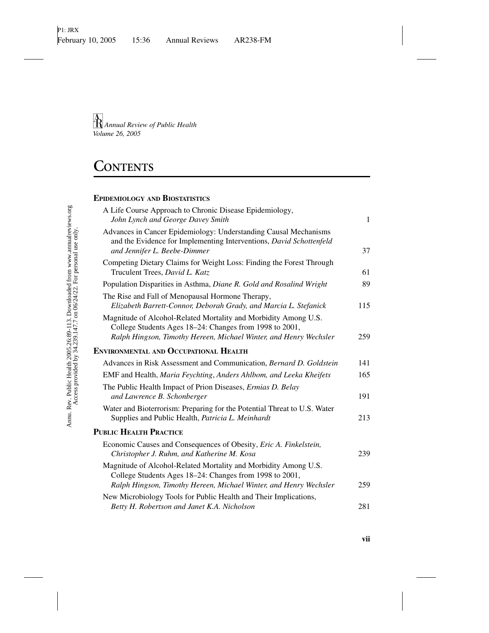# **CONTENTS**

## **EPIDEMIOLOGY AND BIOSTATISTICS**

| A Life Course Approach to Chronic Disease Epidemiology,<br>John Lynch and George Davey Smith                                                                                                    | $\mathbf{1}$ |
|-------------------------------------------------------------------------------------------------------------------------------------------------------------------------------------------------|--------------|
| Advances in Cancer Epidemiology: Understanding Causal Mechanisms                                                                                                                                |              |
| and the Evidence for Implementing Interventions, David Schottenfeld<br>and Jennifer L. Beebe-Dimmer                                                                                             | 37           |
| Competing Dietary Claims for Weight Loss: Finding the Forest Through<br>Truculent Trees, David L. Katz                                                                                          | 61           |
| Population Disparities in Asthma, Diane R. Gold and Rosalind Wright                                                                                                                             | 89           |
| The Rise and Fall of Menopausal Hormone Therapy,<br>Elizabeth Barrett-Connor, Deborah Grady, and Marcia L. Stefanick                                                                            | 115          |
| Magnitude of Alcohol-Related Mortality and Morbidity Among U.S.<br>College Students Ages 18–24: Changes from 1998 to 2001,<br>Ralph Hingson, Timothy Hereen, Michael Winter, and Henry Wechsler | 259          |
| ENVIRONMENTAL AND OCCUPATIONAL HEALTH                                                                                                                                                           |              |
| Advances in Risk Assessment and Communication, Bernard D. Goldstein                                                                                                                             | 141          |
| EMF and Health, Maria Feychting, Anders Ahlbom, and Leeka Kheifets                                                                                                                              | 165          |
| The Public Health Impact of Prion Diseases, Ermias D. Belay<br>and Lawrence B. Schonberger                                                                                                      | 191          |
| Water and Bioterrorism: Preparing for the Potential Threat to U.S. Water<br>Supplies and Public Health, Patricia L. Meinhardt                                                                   | 213          |
| <b>PUBLIC HEALTH PRACTICE</b>                                                                                                                                                                   |              |
| Economic Causes and Consequences of Obesity, Eric A. Finkelstein,<br>Christopher J. Ruhm, and Katherine M. Kosa                                                                                 | 239          |
| Magnitude of Alcohol-Related Mortality and Morbidity Among U.S.<br>College Students Ages 18-24: Changes from 1998 to 2001,                                                                      | 259          |
| Ralph Hingson, Timothy Hereen, Michael Winter, and Henry Wechsler<br>New Microbiology Tools for Public Health and Their Implications,                                                           |              |
| Betty H. Robertson and Janet K.A. Nicholson                                                                                                                                                     | 281          |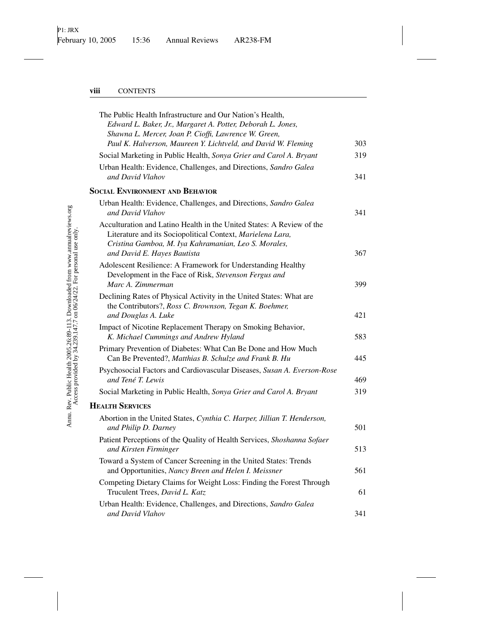| The Public Health Infrastructure and Our Nation's Health,<br>Edward L. Baker, Jr., Margaret A. Potter, Deborah L. Jones,<br>Shawna L. Mercer, Joan P. Cioffi, Lawrence W. Green,<br>Paul K. Halverson, Maureen Y. Lichtveld, and David W. Fleming | 303 |
|---------------------------------------------------------------------------------------------------------------------------------------------------------------------------------------------------------------------------------------------------|-----|
| Social Marketing in Public Health, Sonya Grier and Carol A. Bryant                                                                                                                                                                                | 319 |
| Urban Health: Evidence, Challenges, and Directions, Sandro Galea<br>and David Vlahov                                                                                                                                                              | 341 |
| Social Environment and Behavior                                                                                                                                                                                                                   |     |
| Urban Health: Evidence, Challenges, and Directions, Sandro Galea<br>and David Vlahov                                                                                                                                                              | 341 |
| Acculturation and Latino Health in the United States: A Review of the<br>Literature and its Sociopolitical Context, Marielena Lara,<br>Cristina Gamboa, M. Iya Kahramanian, Leo S. Morales,<br>and David E. Hayes Bautista                        | 367 |
| Adolescent Resilience: A Framework for Understanding Healthy<br>Development in the Face of Risk, Stevenson Fergus and<br>Marc A. Zimmerman                                                                                                        | 399 |
| Declining Rates of Physical Activity in the United States: What are<br>the Contributors?, Ross C. Brownson, Tegan K. Boehmer,<br>and Douglas A. Luke                                                                                              | 421 |
| Impact of Nicotine Replacement Therapy on Smoking Behavior,<br>K. Michael Cummings and Andrew Hyland                                                                                                                                              | 583 |
| Primary Prevention of Diabetes: What Can Be Done and How Much<br>Can Be Prevented?, Matthias B. Schulze and Frank B. Hu                                                                                                                           | 445 |
| Psychosocial Factors and Cardiovascular Diseases, Susan A. Everson-Rose<br>and Tené T. Lewis                                                                                                                                                      | 469 |
| Social Marketing in Public Health, Sonya Grier and Carol A. Bryant                                                                                                                                                                                | 319 |
| <b>HEALTH SERVICES</b>                                                                                                                                                                                                                            |     |
| Abortion in the United States, Cynthia C. Harper, Jillian T. Henderson,<br>and Philip D. Darney                                                                                                                                                   | 501 |
| Patient Perceptions of the Quality of Health Services, Shoshanna Sofaer<br>and Kirsten Firminger                                                                                                                                                  | 513 |
| Toward a System of Cancer Screening in the United States: Trends<br>and Opportunities, Nancy Breen and Helen I. Meissner                                                                                                                          | 561 |
| Competing Dietary Claims for Weight Loss: Finding the Forest Through<br>Truculent Trees, David L. Katz                                                                                                                                            | 61  |
| Urban Health: Evidence, Challenges, and Directions, Sandro Galea<br>and David Vlahov                                                                                                                                                              | 341 |